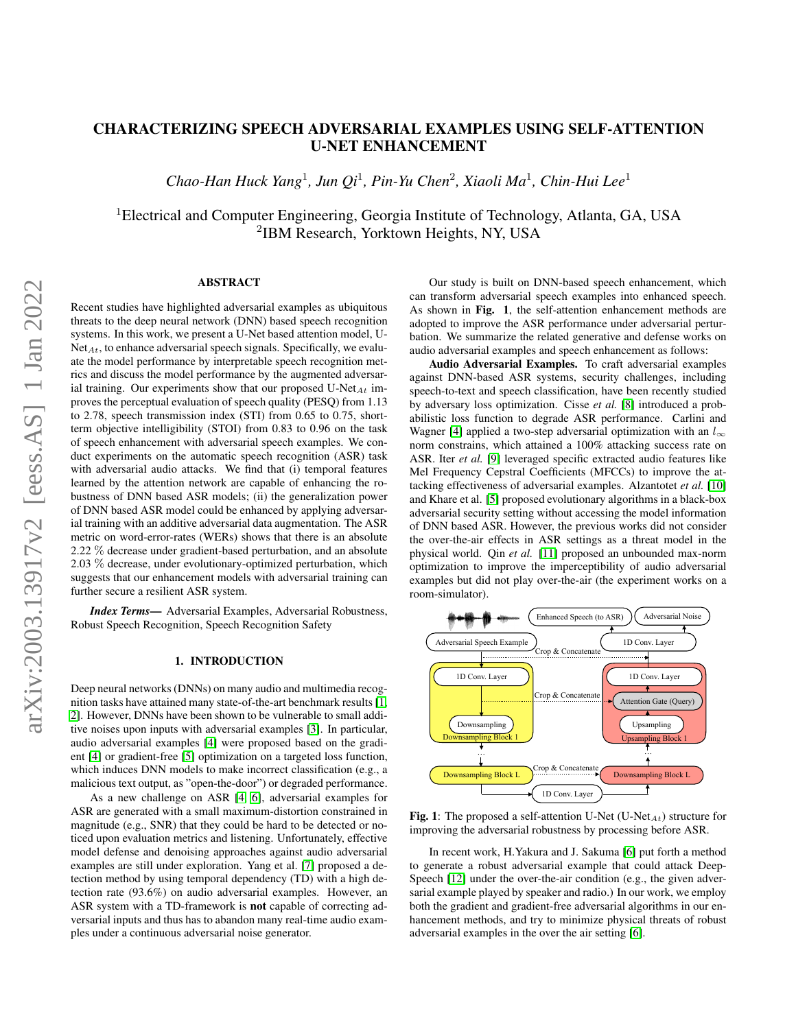# CHARACTERIZING SPEECH ADVERSARIAL EXAMPLES USING SELF-ATTENTION U-NET ENHANCEMENT

*Chao-Han Huck Yang*<sup>1</sup> *, Jun Qi*<sup>1</sup> *, Pin-Yu Chen*<sup>2</sup> *, Xiaoli Ma*<sup>1</sup> *, Chin-Hui Lee*<sup>1</sup>

<sup>1</sup>Electrical and Computer Engineering, Georgia Institute of Technology, Atlanta, GA, USA 2 IBM Research, Yorktown Heights, NY, USA

# ABSTRACT

Recent studies have highlighted adversarial examples as ubiquitous threats to the deep neural network (DNN) based speech recognition systems. In this work, we present a U-Net based attention model, U- $Net_{At}$ , to enhance adversarial speech signals. Specifically, we evaluate the model performance by interpretable speech recognition metrics and discuss the model performance by the augmented adversarial training. Our experiments show that our proposed U-Net<sub>At</sub> improves the perceptual evaluation of speech quality (PESQ) from 1.13 to 2.78, speech transmission index (STI) from 0.65 to 0.75, shortterm objective intelligibility (STOI) from 0.83 to 0.96 on the task of speech enhancement with adversarial speech examples. We conduct experiments on the automatic speech recognition (ASR) task with adversarial audio attacks. We find that (i) temporal features learned by the attention network are capable of enhancing the robustness of DNN based ASR models; (ii) the generalization power of DNN based ASR model could be enhanced by applying adversarial training with an additive adversarial data augmentation. The ASR metric on word-error-rates (WERs) shows that there is an absolute 2.22 % decrease under gradient-based perturbation, and an absolute 2.03 % decrease, under evolutionary-optimized perturbation, which suggests that our enhancement models with adversarial training can further secure a resilient ASR system.

*Index Terms*— Adversarial Examples, Adversarial Robustness, Robust Speech Recognition, Speech Recognition Safety

### 1. INTRODUCTION

Deep neural networks (DNNs) on many audio and multimedia recognition tasks have attained many state-of-the-art benchmark results [\[1,](#page-4-0) [2\]](#page-4-1). However, DNNs have been shown to be vulnerable to small additive noises upon inputs with adversarial examples [\[3\]](#page-4-2). In particular, audio adversarial examples [\[4\]](#page-4-3) were proposed based on the gradient [\[4\]](#page-4-3) or gradient-free [\[5\]](#page-4-4) optimization on a targeted loss function, which induces DNN models to make incorrect classification (e.g., a malicious text output, as "open-the-door") or degraded performance.

As a new challenge on ASR [\[4,](#page-4-3) [6\]](#page-4-5), adversarial examples for ASR are generated with a small maximum-distortion constrained in magnitude (e.g., SNR) that they could be hard to be detected or noticed upon evaluation metrics and listening. Unfortunately, effective model defense and denoising approaches against audio adversarial examples are still under exploration. Yang et al. [\[7\]](#page-4-6) proposed a detection method by using temporal dependency (TD) with a high detection rate (93.6%) on audio adversarial examples. However, an ASR system with a TD-framework is not capable of correcting adversarial inputs and thus has to abandon many real-time audio examples under a continuous adversarial noise generator.

Our study is built on DNN-based speech enhancement, which can transform adversarial speech examples into enhanced speech. As shown in Fig. 1, the self-attention enhancement methods are adopted to improve the ASR performance under adversarial perturbation. We summarize the related generative and defense works on audio adversarial examples and speech enhancement as follows:

Audio Adversarial Examples. To craft adversarial examples against DNN-based ASR systems, security challenges, including speech-to-text and speech classification, have been recently studied by adversary loss optimization. Cisse *et al.* [\[8\]](#page-4-7) introduced a probabilistic loss function to degrade ASR performance. Carlini and Wagner [\[4\]](#page-4-3) applied a two-step adversarial optimization with an  $l_{\infty}$ norm constrains, which attained a 100% attacking success rate on ASR. Iter *et al.* [\[9\]](#page-4-8) leveraged specific extracted audio features like Mel Frequency Cepstral Coefficients (MFCCs) to improve the attacking effectiveness of adversarial examples. Alzantotet *et al.* [\[10\]](#page-4-9) and Khare et al. [\[5\]](#page-4-4) proposed evolutionary algorithms in a black-box adversarial security setting without accessing the model information of DNN based ASR. However, the previous works did not consider the over-the-air effects in ASR settings as a threat model in the physical world. Qin *et al.* [\[11\]](#page-4-10) proposed an unbounded max-norm optimization to improve the imperceptibility of audio adversarial examples but did not play over-the-air (the experiment works on a room-simulator).

<span id="page-0-0"></span>

Fig. 1: The proposed a self-attention U-Net (U-Net<sub>At</sub>) structure for improving the adversarial robustness by processing before ASR.

In recent work, H.Yakura and J. Sakuma [\[6\]](#page-4-5) put forth a method to generate a robust adversarial example that could attack Deep-Speech [\[12\]](#page-4-11) under the over-the-air condition (e.g., the given adversarial example played by speaker and radio.) In our work, we employ both the gradient and gradient-free adversarial algorithms in our enhancement methods, and try to minimize physical threats of robust adversarial examples in the over the air setting [\[6\]](#page-4-5).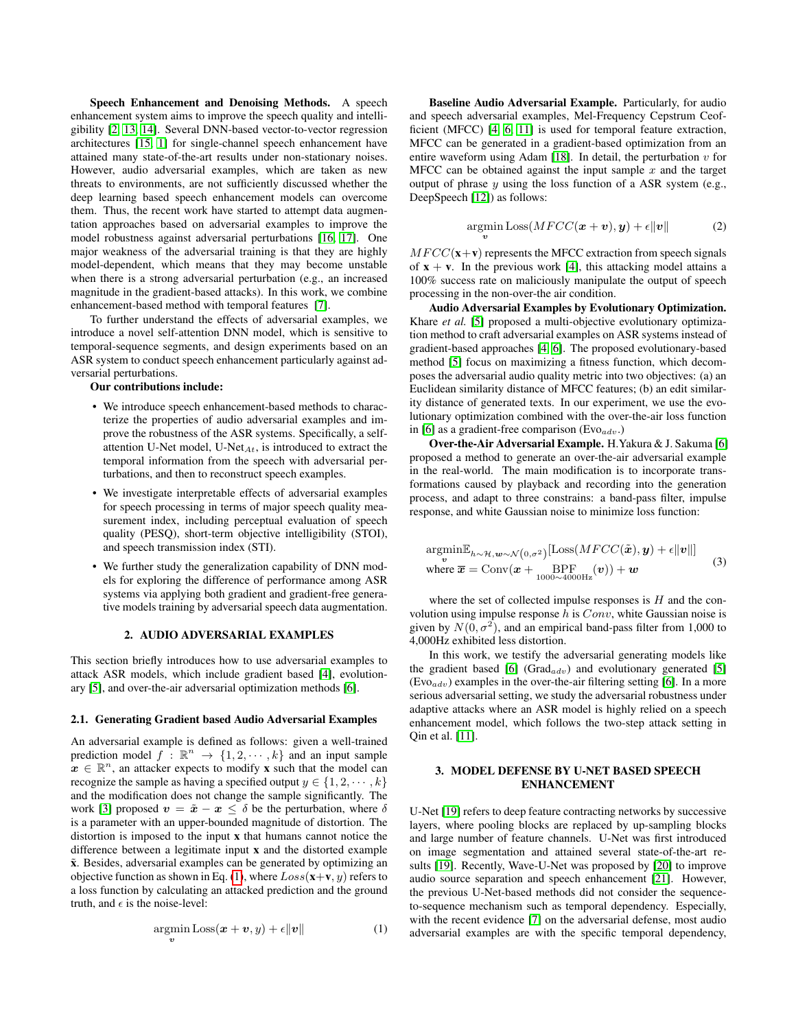Speech Enhancement and Denoising Methods. A speech enhancement system aims to improve the speech quality and intelligibility [\[2,](#page-4-1) [13,](#page-4-12) [14\]](#page-4-13). Several DNN-based vector-to-vector regression architectures [\[15,](#page-4-14) [1\]](#page-4-0) for single-channel speech enhancement have attained many state-of-the-art results under non-stationary noises. However, audio adversarial examples, which are taken as new threats to environments, are not sufficiently discussed whether the deep learning based speech enhancement models can overcome them. Thus, the recent work have started to attempt data augmentation approaches based on adversarial examples to improve the model robustness against adversarial perturbations [\[16,](#page-4-15) [17\]](#page-4-16). One major weakness of the adversarial training is that they are highly model-dependent, which means that they may become unstable when there is a strong adversarial perturbation (e.g., an increased magnitude in the gradient-based attacks). In this work, we combine enhancement-based method with temporal features [\[7\]](#page-4-6).

To further understand the effects of adversarial examples, we introduce a novel self-attention DNN model, which is sensitive to temporal-sequence segments, and design experiments based on an ASR system to conduct speech enhancement particularly against adversarial perturbations.

### Our contributions include:

- We introduce speech enhancement-based methods to characterize the properties of audio adversarial examples and improve the robustness of the ASR systems. Specifically, a selfattention U-Net model, U-Net $_{At}$ , is introduced to extract the temporal information from the speech with adversarial perturbations, and then to reconstruct speech examples.
- We investigate interpretable effects of adversarial examples for speech processing in terms of major speech quality measurement index, including perceptual evaluation of speech quality (PESQ), short-term objective intelligibility (STOI), and speech transmission index (STI).
- We further study the generalization capability of DNN models for exploring the difference of performance among ASR systems via applying both gradient and gradient-free generative models training by adversarial speech data augmentation.

### 2. AUDIO ADVERSARIAL EXAMPLES

This section briefly introduces how to use adversarial examples to attack ASR models, which include gradient based [\[4\]](#page-4-3), evolutionary [\[5\]](#page-4-4), and over-the-air adversarial optimization methods [\[6\]](#page-4-5).

#### 2.1. Generating Gradient based Audio Adversarial Examples

An adversarial example is defined as follows: given a well-trained prediction model  $f: \mathbb{R}^n \to \{1, 2, \dots, k\}$  and an input sample  $x \in \mathbb{R}^n$ , an attacker expects to modify x such that the model can recognize the sample as having a specified output  $y \in \{1, 2, \dots, k\}$ and the modification does not change the sample significantly. The work [\[3\]](#page-4-2) proposed  $v = \tilde{x} - x \leq \delta$  be the perturbation, where  $\delta$ is a parameter with an upper-bounded magnitude of distortion. The distortion is imposed to the input x that humans cannot notice the difference between a legitimate input x and the distorted example  $\tilde{x}$ . Besides, adversarial examples can be generated by optimizing an objective function as shown in Eq. [\(1\)](#page-1-0), where  $Loss(x+v, y)$  refers to a loss function by calculating an attacked prediction and the ground truth, and  $\epsilon$  is the noise-level:

<span id="page-1-0"></span>
$$
\underset{\mathbf{v}}{\operatorname{argmin}} \text{Loss}(\mathbf{x} + \mathbf{v}, y) + \epsilon \|\mathbf{v}\| \tag{1}
$$

Baseline Audio Adversarial Example. Particularly, for audio and speech adversarial examples, Mel-Frequency Cepstrum Ceofficient (MFCC) [\[4,](#page-4-3) [6,](#page-4-5) [11\]](#page-4-10) is used for temporal feature extraction, MFCC can be generated in a gradient-based optimization from an entire waveform using Adam [\[18\]](#page-4-17). In detail, the perturbation  $v$  for MFCC can be obtained against the input sample  $x$  and the target output of phrase  $y$  using the loss function of a ASR system (e.g., DeepSpeech [\[12\]](#page-4-11)) as follows:

$$
\underset{\mathbf{v}}{\operatorname{argmin}} \text{Loss}(MFCC(\mathbf{x}+\mathbf{v}), \mathbf{y}) + \epsilon \|\mathbf{v}\| \tag{2}
$$

 $MFCC(\mathbf{x}+\mathbf{v})$  represents the MFCC extraction from speech signals of  $x + v$ . In the previous work [\[4\]](#page-4-3), this attacking model attains a 100% success rate on maliciously manipulate the output of speech processing in the non-over-the air condition.

Audio Adversarial Examples by Evolutionary Optimization. Khare *et al.* [\[5\]](#page-4-4) proposed a multi-objective evolutionary optimization method to craft adversarial examples on ASR systems instead of gradient-based approaches [\[4,](#page-4-3) [6\]](#page-4-5). The proposed evolutionary-based method [\[5\]](#page-4-4) focus on maximizing a fitness function, which decomposes the adversarial audio quality metric into two objectives: (a) an Euclidean similarity distance of MFCC features; (b) an edit similarity distance of generated texts. In our experiment, we use the evolutionary optimization combined with the over-the-air loss function in [\[6\]](#page-4-5) as a gradient-free comparison (Evo $_{adv}$ .)

Over-the-Air Adversarial Example. H.Yakura & J. Sakuma [\[6\]](#page-4-5) proposed a method to generate an over-the-air adversarial example in the real-world. The main modification is to incorporate transformations caused by playback and recording into the generation process, and adapt to three constrains: a band-pass filter, impulse response, and white Gaussian noise to minimize loss function:

$$
\underset{\mathbf{v}}{\operatorname{argmin}} \mathbb{E}_{h \sim \mathcal{H}, \mathbf{w} \sim \mathcal{N}(0, \sigma^2)}[\text{Loss}(MFCC(\tilde{\boldsymbol{x}}), \boldsymbol{y}) + \epsilon ||\boldsymbol{v}||] \n\text{where } \overline{\boldsymbol{x}} = \text{Conv}(\boldsymbol{x} + \underset{1000 \sim 4000 \text{Hz}}{\text{BPF}}(\boldsymbol{v})) + \boldsymbol{w}
$$
\n(3)

where the set of collected impulse responses is  $H$  and the convolution using impulse response  $h$  is  $Conv$ , white Gaussian noise is given by  $N(0, \sigma^2)$ , and an empirical band-pass filter from 1,000 to 4,000Hz exhibited less distortion.

In this work, we testify the adversarial generating models like the gradient based [\[6\]](#page-4-5) (Grad $_{adv}$ ) and evolutionary generated [\[5\]](#page-4-4)  $(Evo_{adv})$  examples in the over-the-air filtering setting [\[6\]](#page-4-5). In a more serious adversarial setting, we study the adversarial robustness under adaptive attacks where an ASR model is highly relied on a speech enhancement model, which follows the two-step attack setting in Qin et al. [\[11\]](#page-4-10).

# 3. MODEL DEFENSE BY U-NET BASED SPEECH ENHANCEMENT

U-Net [\[19\]](#page-4-18) refers to deep feature contracting networks by successive layers, where pooling blocks are replaced by up-sampling blocks and large number of feature channels. U-Net was first introduced on image segmentation and attained several state-of-the-art results [\[19\]](#page-4-18). Recently, Wave-U-Net was proposed by [\[20\]](#page-4-19) to improve audio source separation and speech enhancement [\[21\]](#page-4-20). However, the previous U-Net-based methods did not consider the sequenceto-sequence mechanism such as temporal dependency. Especially, with the recent evidence [\[7\]](#page-4-6) on the adversarial defense, most audio adversarial examples are with the specific temporal dependency,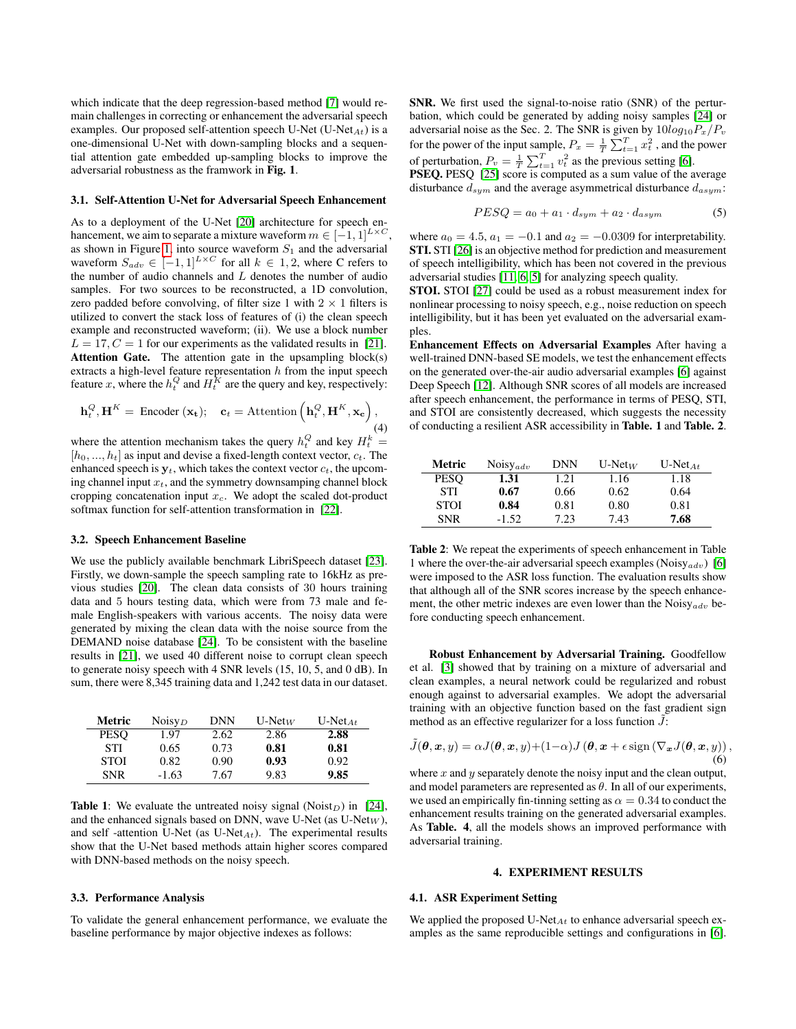which indicate that the deep regression-based method [\[7\]](#page-4-6) would remain challenges in correcting or enhancement the adversarial speech examples. Our proposed self-attention speech U-Net  $(U-Net_{At})$  is a one-dimensional U-Net with down-sampling blocks and a sequential attention gate embedded up-sampling blocks to improve the adversarial robustness as the framwork in Fig. 1.

#### 3.1. Self-Attention U-Net for Adversarial Speech Enhancement

As to a deployment of the U-Net [\[20\]](#page-4-19) architecture for speech enhancement, we aim to separate a mixture waveform  $m \in [-1, 1]^{L \times C}$ as shown in Figure [1,](#page-0-0) into source waveform  $S_1$  and the adversarial waveform  $S_{adv} \in [-1, 1]^{L \times C}$  for all  $k \in 1, 2$ , where C refers to the number of audio channels and  $L$  denotes the number of audio samples. For two sources to be reconstructed, a 1D convolution, zero padded before convolving, of filter size 1 with  $2 \times 1$  filters is utilized to convert the stack loss of features of (i) the clean speech example and reconstructed waveform; (ii). We use a block number  $L = 17, C = 1$  for our experiments as the validated results in [\[21\]](#page-4-20). Attention Gate. The attention gate in the upsampling block(s) extracts a high-level feature representation  $h$  from the input speech feature x, where the  $h_t^Q$  and  $H_t^K$  are the query and key, respectively:

$$
\mathbf{h}_t^Q, \mathbf{H}^K = \text{Encoder}(\mathbf{x_t}); \quad \mathbf{c}_t = \text{Attention}(\mathbf{h}_t^Q, \mathbf{H}^K, \mathbf{x_c}),
$$
\n(4)

where the attention mechanism takes the query  $h_t^Q$  and key  $H_t^k =$  $[h_0, ..., h_t]$  as input and devise a fixed-length context vector,  $c_t$ . The enhanced speech is  $y_t$ , which takes the context vector  $c_t$ , the upcoming channel input  $x_t$ , and the symmetry downsamping channel block cropping concatenation input  $x_c$ . We adopt the scaled dot-product softmax function for self-attention transformation in [\[22\]](#page-4-21).

#### 3.2. Speech Enhancement Baseline

We use the publicly available benchmark LibriSpeech dataset [\[23\]](#page-4-22). Firstly, we down-sample the speech sampling rate to 16kHz as previous studies [\[20\]](#page-4-19). The clean data consists of 30 hours training data and 5 hours testing data, which were from 73 male and female English-speakers with various accents. The noisy data were generated by mixing the clean data with the noise source from the DEMAND noise database [\[24\]](#page-4-23). To be consistent with the baseline results in [\[21\]](#page-4-20), we used 40 different noise to corrupt clean speech to generate noisy speech with 4 SNR levels (15, 10, 5, and 0 dB). In sum, there were 8,345 training data and 1,242 test data in our dataset.

| Metric      | Noisy $_D$ | <b>DNN</b> | $U$ -Net <sub>W</sub> | U-Net <sub><math>At</math></sub> |
|-------------|------------|------------|-----------------------|----------------------------------|
| PESO        | 1.97       | 2.62       | 2.86                  | 2.88                             |
| <b>STI</b>  | 0.65       | 0.73       | 0.81                  | 0.81                             |
| <b>STOI</b> | 0.82       | 0.90       | 0.93                  | 0.92                             |
| <b>SNR</b>  | $-1.63$    | 7.67       | 9.83                  | 9.85                             |

**Table 1:** We evaluate the untreated noisy signal (Noist<sub>D</sub>) in [\[24\]](#page-4-23), and the enhanced signals based on DNN, wave U-Net (as  $U\text{-Net}_W$ ), and self-attention U-Net (as  $U$ -Net $_{At}$ ). The experimental results show that the U-Net based methods attain higher scores compared with DNN-based methods on the noisy speech.

# 3.3. Performance Analysis

To validate the general enhancement performance, we evaluate the baseline performance by major objective indexes as follows:

SNR. We first used the signal-to-noise ratio (SNR) of the perturbation, which could be generated by adding noisy samples [\[24\]](#page-4-23) or adversarial noise as the Sec. 2. The SNR is given by  $10log_{10}P_x/P_v$ for the power of the input sample,  $P_x = \frac{1}{T} \sum_{t=1}^T x_t^2$  , and the power of perturbation,  $P_v = \frac{1}{T} \sum_{t=1}^T v_t^2$  as the previous setting [\[6\]](#page-4-5).

PSEQ. PESQ [\[25\]](#page-4-24) score is computed as a sum value of the average disturbance  $d_{sym}$  and the average asymmetrical disturbance  $d_{asym}$ :

$$
PESQ = a_0 + a_1 \cdot d_{sym} + a_2 \cdot d_{asym} \tag{5}
$$

where  $a_0 = 4.5$ ,  $a_1 = -0.1$  and  $a_2 = -0.0309$  for interpretability. STI. STI [\[26\]](#page-4-25) is an objective method for prediction and measurement of speech intelligibility, which has been not covered in the previous adversarial studies [\[11,](#page-4-10) [6,](#page-4-5) [5\]](#page-4-4) for analyzing speech quality.

STOI. STOI [\[27\]](#page-4-26) could be used as a robust measurement index for nonlinear processing to noisy speech, e.g., noise reduction on speech intelligibility, but it has been yet evaluated on the adversarial examples.

Enhancement Effects on Adversarial Examples After having a well-trained DNN-based SE models, we test the enhancement effects on the generated over-the-air audio adversarial examples [\[6\]](#page-4-5) against Deep Speech [\[12\]](#page-4-11). Although SNR scores of all models are increased after speech enhancement, the performance in terms of PESQ, STI, and STOI are consistently decreased, which suggests the necessity of conducting a resilient ASR accessibility in Table. 1 and Table. 2.

| Metric      | Noisy <sub>adv</sub> | <b>DNN</b> | $U-NetW$ | U-Net <sub><math>At</math></sub> |
|-------------|----------------------|------------|----------|----------------------------------|
| <b>PESO</b> | 1.31                 | 1.21       | 1.16     | 1.18                             |
| <b>STI</b>  | 0.67                 | 0.66       | 0.62     | 0.64                             |
| <b>STOI</b> | 0.84                 | 0.81       | 0.80     | 0.81                             |
| <b>SNR</b>  | $-1.52$              | 7.23       | 7.43     | 7.68                             |

Table 2: We repeat the experiments of speech enhancement in Table 1 where the over-the-air adversarial speech examples (Noisy $_{adv}$ ) [\[6\]](#page-4-5) were imposed to the ASR loss function. The evaluation results show that although all of the SNR scores increase by the speech enhancement, the other metric indexes are even lower than the Noisy<sub>adv</sub> before conducting speech enhancement.

Robust Enhancement by Adversarial Training. Goodfellow et al. [\[3\]](#page-4-2) showed that by training on a mixture of adversarial and clean examples, a neural network could be regularized and robust enough against to adversarial examples. We adopt the adversarial training with an objective function based on the fast gradient sign method as an effective regularizer for a loss function  $J$ :

$$
\tilde{J}(\boldsymbol{\theta}, \boldsymbol{x}, y) = \alpha J(\boldsymbol{\theta}, \boldsymbol{x}, y) + (1 - \alpha) J(\boldsymbol{\theta}, \boldsymbol{x} + \epsilon \operatorname{sign}(\nabla_{\boldsymbol{x}} J(\boldsymbol{\theta}, \boldsymbol{x}, y)),
$$
\n(6)

where  $x$  and  $y$  separately denote the noisy input and the clean output, and model parameters are represented as  $\theta$ . In all of our experiments, we used an empirically fin-tinning setting as  $\alpha = 0.34$  to conduct the enhancement results training on the generated adversarial examples. As Table. 4, all the models shows an improved performance with adversarial training.

# 4. EXPERIMENT RESULTS

# 4.1. ASR Experiment Setting

We applied the proposed U-Net<sub>At</sub> to enhance adversarial speech examples as the same reproducible settings and configurations in [\[6\]](#page-4-5).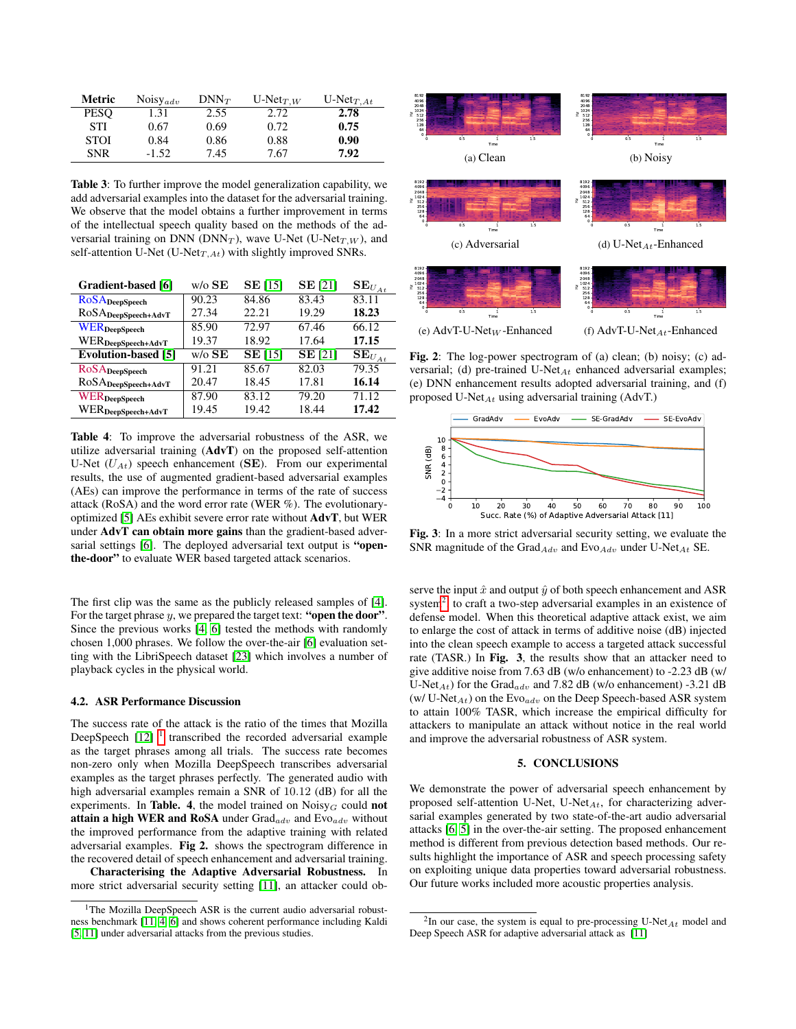| <b>Metric</b> | Noisy <sub>adv</sub> | $DNN_T$ | $U\text{-}\mathrm{Net}_{T,W}$ | $U\text{-}\mathrm{Net}_{T,At}$ |
|---------------|----------------------|---------|-------------------------------|--------------------------------|
| <b>PESO</b>   | 1.31                 | 2.55    | 2.72                          | 2.78                           |
| <b>STI</b>    | 0.67                 | 0.69    | 0.72                          | 0.75                           |
| <b>STOI</b>   | 0.84                 | 0.86    | 0.88                          | 0.90                           |
| <b>SNR</b>    | $-1.52$              | 7.45    | 7.67                          | 7.92                           |

Table 3: To further improve the model generalization capability, we add adversarial examples into the dataset for the adversarial training. We observe that the model obtains a further improvement in terms of the intellectual speech quality based on the methods of the adversarial training on DNN ( $DNN_T$ ), wave U-Net (U-Net $_{T,W}$ ), and self-attention U-Net (U-Net $_{T,At}$ ) with slightly improved SNRs.

| Gradient-based [6]             | $w$ /o $SE$ | $SE$ [15]      | <b>SE</b> [21] | $\mathbf{SE}_{U_{At}}$            |
|--------------------------------|-------------|----------------|----------------|-----------------------------------|
| <b>RoSA</b> DeepSpeech         | 90.23       | 84.86          | 83.43          | 83.11                             |
| ROSADeepSpeech+AdvT            | 27.34       | 22.21          | 19.29          | 18.23                             |
| <b>WER</b> DeepSpeech          | 85.90       | 72.97          | 67.46          | 66.12                             |
| WER <sub>DeepSpeech+AdvT</sub> | 19.37       | 18.92          | 17.64          | 17.15                             |
| <b>Evolution-based</b> [5]     | $w/o$ SE    | <b>SE</b> [15] | <b>SE</b> [21] | $\overline{\mathbf{SE}}_{U_{At}}$ |
| <b>ROSA</b> DeepSpeech         | 91.21       | 85.67          | 82.03          | 79.35                             |
|                                |             |                |                |                                   |
| ROSADeepSpeech+AdvT            | 20.47       | 18.45          | 17.81          | 16.14                             |
| WERDeepSpeech                  | 87.90       | 83.12          | 79.20          | 71.12                             |

Table 4: To improve the adversarial robustness of the ASR, we utilize adversarial training (AdvT) on the proposed self-attention U-Net  $(U_{At})$  speech enhancement (SE). From our experimental results, the use of augmented gradient-based adversarial examples (AEs) can improve the performance in terms of the rate of success attack (RoSA) and the word error rate (WER %). The evolutionaryoptimized [\[5\]](#page-4-4) AEs exhibit severe error rate without AdvT, but WER under AdvT can obtain more gains than the gradient-based adver-sarial settings [\[6\]](#page-4-5). The deployed adversarial text output is "openthe-door" to evaluate WER based targeted attack scenarios.

The first clip was the same as the publicly released samples of [\[4\]](#page-4-3). For the target phrase  $y$ , we prepared the target text: "open the door". Since the previous works [\[4,](#page-4-3) [6\]](#page-4-5) tested the methods with randomly chosen 1,000 phrases. We follow the over-the-air [\[6\]](#page-4-5) evaluation setting with the LibriSpeech dataset [\[23\]](#page-4-22) which involves a number of playback cycles in the physical world.

#### 4.2. ASR Performance Discussion

The success rate of the attack is the ratio of the times that Mozilla DeepSpeech  $[12]$ <sup>[1](#page-3-0)</sup> transcribed the recorded adversarial example as the target phrases among all trials. The success rate becomes non-zero only when Mozilla DeepSpeech transcribes adversarial examples as the target phrases perfectly. The generated audio with high adversarial examples remain a SNR of 10.12 (dB) for all the experiments. In Table. 4, the model trained on  $Noisy<sub>G</sub>$  could not attain a high WER and RoSA under  $Grad_{adv}$  and  $Evo_{adv}$  without the improved performance from the adaptive training with related adversarial examples. Fig 2. shows the spectrogram difference in the recovered detail of speech enhancement and adversarial training.

Characterising the Adaptive Adversarial Robustness. In more strict adversarial security setting [\[11\]](#page-4-10), an attacker could ob-



Fig. 2: The log-power spectrogram of (a) clean; (b) noisy; (c) adversarial; (d) pre-trained U-Net $_{At}$  enhanced adversarial examples; (e) DNN enhancement results adopted adversarial training, and (f) proposed U-Net $_{At}$  using adversarial training (AdvT.)



Fig. 3: In a more strict adversarial security setting, we evaluate the SNR magnitude of the Grad $_{Adv}$  and Evo $_{Adv}$  under U-Net $_{At}$  SE.

serve the input  $\hat{x}$  and output  $\hat{y}$  of both speech enhancement and ASR system<sup>[2](#page-3-1)</sup>, to craft a two-step adversarial examples in an existence of defense model. When this theoretical adaptive attack exist, we aim to enlarge the cost of attack in terms of additive noise (dB) injected into the clean speech example to access a targeted attack successful rate (TASR.) In Fig. 3, the results show that an attacker need to give additive noise from 7.63 dB (w/o enhancement) to -2.23 dB (w/ U-Net<sub>At</sub>) for the Grad<sub>adv</sub> and 7.82 dB (w/o enhancement) -3.21 dB (w/ U-Net<sub>At</sub>) on the Evo<sub>adv</sub> on the Deep Speech-based ASR system to attain 100% TASR, which increase the empirical difficulty for attackers to manipulate an attack without notice in the real world and improve the adversarial robustness of ASR system.

# 5. CONCLUSIONS

We demonstrate the power of adversarial speech enhancement by proposed self-attention U-Net, U-Net<sub>At</sub>, for characterizing adversarial examples generated by two state-of-the-art audio adversarial attacks [\[6,](#page-4-5) [5\]](#page-4-4) in the over-the-air setting. The proposed enhancement method is different from previous detection based methods. Our results highlight the importance of ASR and speech processing safety on exploiting unique data properties toward adversarial robustness. Our future works included more acoustic properties analysis.

<span id="page-3-0"></span><sup>&</sup>lt;sup>1</sup>The Mozilla DeepSpeech ASR is the current audio adversarial robustness benchmark [\[11,](#page-4-10) [4,](#page-4-3) [6\]](#page-4-5) and shows coherent performance including Kaldi [\[5,](#page-4-4) [11\]](#page-4-10) under adversarial attacks from the previous studies.

<span id="page-3-1"></span><sup>&</sup>lt;sup>2</sup>In our case, the system is equal to pre-processing U-Net<sub>At</sub> model and Deep Speech ASR for adaptive adversarial attack as [\[11\]](#page-4-10)